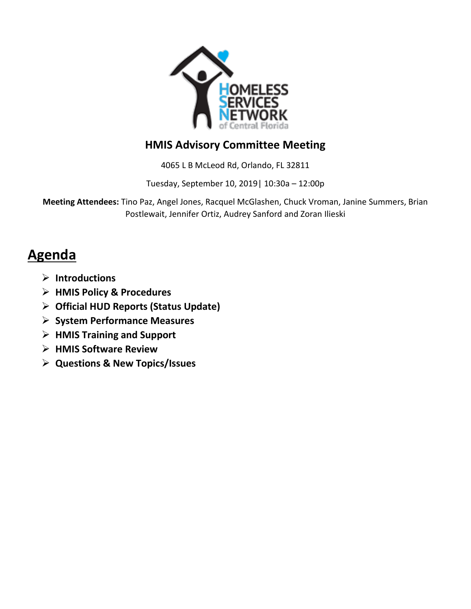

## **HMIS Advisory Committee Meeting**

4065 L B McLeod Rd, Orlando, FL 32811

Tuesday, September 10, 2019| 10:30a – 12:00p

**Meeting Attendees:** Tino Paz, Angel Jones, Racquel McGlashen, Chuck Vroman, Janine Summers, Brian Postlewait, Jennifer Ortiz, Audrey Sanford and Zoran Ilieski

# **Agenda**

- **Introductions**
- **HMIS Policy & Procedures**
- **Official HUD Reports (Status Update)**
- **System Performance Measures**
- **HMIS Training and Support**
- **HMIS Software Review**
- **Questions & New Topics/Issues**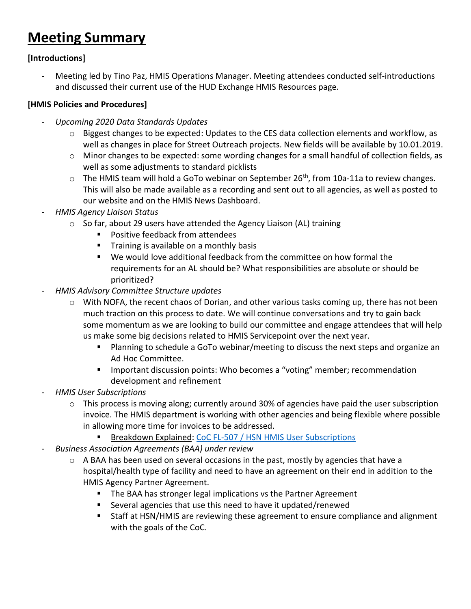# **Meeting Summary**

#### **[Introductions]**

Meeting led by Tino Paz, HMIS Operations Manager. Meeting attendees conducted self-introductions and discussed their current use of the HUD Exchange HMIS Resources page.

#### **[HMIS Policies and Procedures]**

- *Upcoming 2020 Data Standards Updates*
	- o Biggest changes to be expected: Updates to the CES data collection elements and workflow, as well as changes in place for Street Outreach projects. New fields will be available by 10.01.2019.
	- $\circ$  Minor changes to be expected: some wording changes for a small handful of collection fields, as well as some adjustments to standard picklists
	- $\circ$  The HMIS team will hold a GoTo webinar on September 26<sup>th</sup>, from 10a-11a to review changes. This will also be made available as a recording and sent out to all agencies, as well as posted to our website and on the HMIS News Dashboard.
- *HMIS Agency Liaison Status*
	- o So far, about 29 users have attended the Agency Liaison (AL) training
		- **Positive feedback from attendees**
		- **Training is available on a monthly basis**
		- We would love additional feedback from the committee on how formal the requirements for an AL should be? What responsibilities are absolute or should be prioritized?
- *HMIS Advisory Committee Structure updates*
	- $\circ$  With NOFA, the recent chaos of Dorian, and other various tasks coming up, there has not been much traction on this process to date. We will continue conversations and try to gain back some momentum as we are looking to build our committee and engage attendees that will help us make some big decisions related to HMIS Servicepoint over the next year.
		- Planning to schedule a GoTo webinar/meeting to discuss the next steps and organize an Ad Hoc Committee.
		- Important discussion points: Who becomes a "voting" member; recommendation development and refinement
- *HMIS User Subscriptions*
	- $\circ$  This process is moving along; currently around 30% of agencies have paid the user subscription invoice. The HMIS department is working with other agencies and being flexible where possible in allowing more time for invoices to be addressed.
		- Breakdown Explained: [CoC FL-507 / HSN HMIS User Subscriptions](https://docs.google.com/presentation/d/1TSXxNba-GSS9rzd_VtUk6FwfCpDkCcy2jvuhvBmwRGk/edit?usp=sharing)
- *Business Association Agreements (BAA) under review*
	- $\circ$  A BAA has been used on several occasions in the past, mostly by agencies that have a hospital/health type of facility and need to have an agreement on their end in addition to the HMIS Agency Partner Agreement.
		- The BAA has stronger legal implications vs the Partner Agreement
		- Several agencies that use this need to have it updated/renewed
		- Staff at HSN/HMIS are reviewing these agreement to ensure compliance and alignment with the goals of the CoC.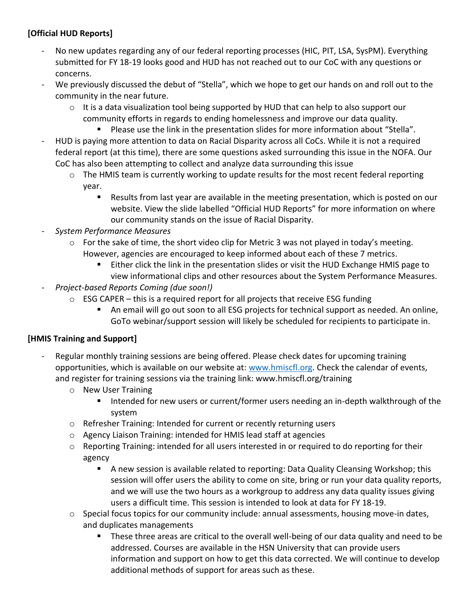### **[Official HUD Reports]**

- No new updates regarding any of our federal reporting processes (HIC, PIT, LSA, SysPM). Everything submitted for FY 18-19 looks good and HUD has not reached out to our CoC with any questions or concerns.
- We previously discussed the debut of "Stella", which we hope to get our hands on and roll out to the community in the near future.
	- $\circ$  It is a data visualization tool being supported by HUD that can help to also support our community efforts in regards to ending homelessness and improve our data quality.
		- **Please use the link in the presentation slides for more information about "Stella".**
- HUD is paying more attention to data on Racial Disparity across all CoCs. While it is not a required federal report (at this time), there are some questions asked surrounding this issue in the NOFA. Our CoC has also been attempting to collect and analyze data surrounding this issue
	- $\circ$  The HMIS team is currently working to update results for the most recent federal reporting year.
		- Results from last year are available in the meeting presentation, which is posted on our website. View the slide labelled "Official HUD Reports" for more information on where our community stands on the issue of Racial Disparity.
- *System Performance Measures*
	- $\circ$  For the sake of time, the short video clip for Metric 3 was not played in today's meeting. However, agencies are encouraged to keep informed about each of these 7 metrics.
		- **Either click the link in the presentation slides or visit the HUD Exchange HMIS page to** view informational clips and other resources about the System Performance Measures.
- *Project-based Reports Coming (due soon!)*
	- $\circ$  ESG CAPER this is a required report for all projects that receive ESG funding
		- An email will go out soon to all ESG projects for technical support as needed. An online, GoTo webinar/support session will likely be scheduled for recipients to participate in.

### **[HMIS Training and Support]**

- Regular monthly training sessions are being offered. Please check dates for upcoming training opportunities, which is available on our website at: [www.hmiscfl.org.](http://www.hmiscfl.org/) Check the calendar of events, and register for training sessions via the training link: www.hmiscfl.org/training
	- o New User Training
		- Intended for new users or current/former users needing an in-depth walkthrough of the system
	- o Refresher Training: Intended for current or recently returning users
	- o Agency Liaison Training: intended for HMIS lead staff at agencies
	- $\circ$  Reporting Training: intended for all users interested in or required to do reporting for their agency
		- A new session is available related to reporting: Data Quality Cleansing Workshop; this session will offer users the ability to come on site, bring or run your data quality reports, and we will use the two hours as a workgroup to address any data quality issues giving users a difficult time. This session is intended to look at data for FY 18-19.
	- $\circ$  Special focus topics for our community include: annual assessments, housing move-in dates, and duplicates managements
		- These three areas are critical to the overall well-being of our data quality and need to be addressed. Courses are available in the HSN University that can provide users information and support on how to get this data corrected. We will continue to develop additional methods of support for areas such as these.